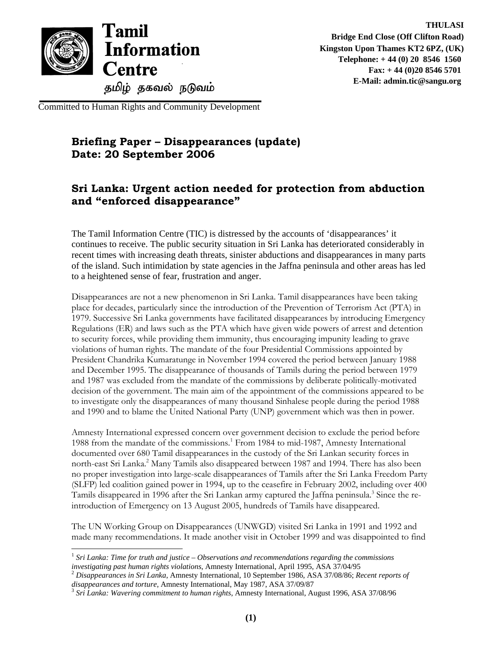

-

Committed to Human Rights and Community Development

## **Briefing Paper – Disappearances (update) Date: 20 September 2006**

## **Sri Lanka: Urgent action needed for protection from abduction and "enforced disappearance"**

The Tamil Information Centre (TIC) is distressed by the accounts of 'disappearances' it continues to receive. The public security situation in Sri Lanka has deteriorated considerably in recent times with increasing death threats, sinister abductions and disappearances in many parts of the island. Such intimidation by state agencies in the Jaffna peninsula and other areas has led to a heightened sense of fear, frustration and anger.

Disappearances are not a new phenomenon in Sri Lanka. Tamil disappearances have been taking place for decades, particularly since the introduction of the Prevention of Terrorism Act (PTA) in 1979. Successive Sri Lanka governments have facilitated disappearances by introducing Emergency Regulations (ER) and laws such as the PTA which have given wide powers of arrest and detention to security forces, while providing them immunity, thus encouraging impunity leading to grave violations of human rights. The mandate of the four Presidential Commissions appointed by President Chandrika Kumaratunge in November 1994 covered the period between January 1988 and December 1995. The disappearance of thousands of Tamils during the period between 1979 and 1987 was excluded from the mandate of the commissions by deliberate politically-motivated decision of the government. The main aim of the appointment of the commissions appeared to be to investigate only the disappearances of many thousand Sinhalese people during the period 1988 and 1990 and to blame the United National Party (UNP) government which was then in power.

Amnesty International expressed concern over government decision to exclude the period before 1988 from the mandate of the commissions.<sup>1</sup> From 1984 to mid-1987, Amnesty International documented over 680 Tamil disappearances in the custody of the Sri Lankan security forces in north-east Sri Lanka.<sup>2</sup> Many Tamils also disappeared between 1987 and 1994. There has also been no proper investigation into large-scale disappearances of Tamils after the Sri Lanka Freedom Party (SLFP) led coalition gained power in 1994, up to the ceasefire in February 2002, including over 400 Tamils disappeared in 1996 after the Sri Lankan army captured the Jaffna peninsula.<sup>3</sup> Since the reintroduction of Emergency on 13 August 2005, hundreds of Tamils have disappeared.

The UN Working Group on Disappearances (UNWGD) visited Sri Lanka in 1991 and 1992 and made many recommendations. It made another visit in October 1999 and was disappointed to find

<sup>1</sup> *Sri Lanka: Time for truth and justice – Observations and recommendations regarding the commissions investigating past human rights violations*, Amnesty International, April 1995, ASA 37/04/95<br><sup>2</sup> Disappearances in Sri Lanka, Amnesty International, 10 September 1986, ASA 37/08/86; *Recent reports of* 

*disappearances and torture*, Amnesty International, May 1987, ASA 37/09/87<br><sup>3</sup> Sri Lanka: Wavering commitment to human rights, Amnesty International, August 1996, ASA 37/08/96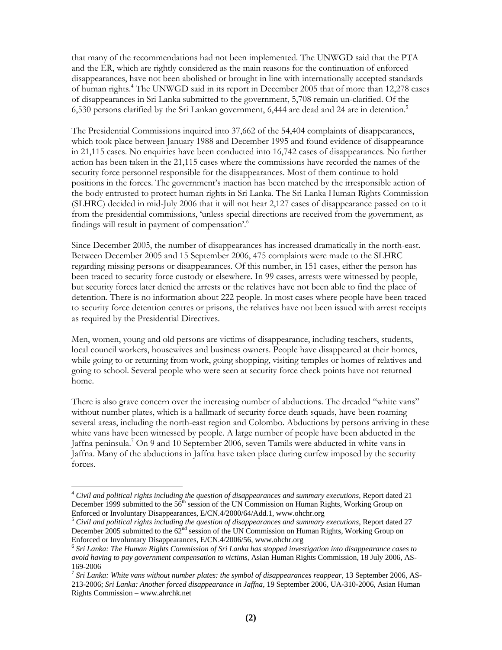that many of the recommendations had not been implemented. The UNWGD said that the PTA and the ER, which are rightly considered as the main reasons for the continuation of enforced disappearances, have not been abolished or brought in line with internationally accepted standards of human rights.<sup>4</sup> The UNWGD said in its report in December 2005 that of more than 12,278 cases of disappearances in Sri Lanka submitted to the government, 5,708 remain un-clarified. Of the 6,530 persons clarified by the Sri Lankan government, 6,444 are dead and 24 are in detention.<sup>5</sup>

The Presidential Commissions inquired into 37,662 of the 54,404 complaints of disappearances, which took place between January 1988 and December 1995 and found evidence of disappearance in 21,115 cases. No enquiries have been conducted into 16,742 cases of disappearances. No further action has been taken in the 21,115 cases where the commissions have recorded the names of the security force personnel responsible for the disappearances. Most of them continue to hold positions in the forces. The government's inaction has been matched by the irresponsible action of the body entrusted to protect human rights in Sri Lanka. The Sri Lanka Human Rights Commission (SLHRC) decided in mid-July 2006 that it will not hear 2,127 cases of disappearance passed on to it from the presidential commissions, 'unless special directions are received from the government, as findings will result in payment of compensation'.<sup>6</sup>

Since December 2005, the number of disappearances has increased dramatically in the north-east. Between December 2005 and 15 September 2006, 475 complaints were made to the SLHRC regarding missing persons or disappearances. Of this number, in 151 cases, either the person has been traced to security force custody or elsewhere. In 99 cases, arrests were witnessed by people, but security forces later denied the arrests or the relatives have not been able to find the place of detention. There is no information about 222 people. In most cases where people have been traced to security force detention centres or prisons, the relatives have not been issued with arrest receipts as required by the Presidential Directives.

Men, women, young and old persons are victims of disappearance, including teachers, students, local council workers, housewives and business owners. People have disappeared at their homes, while going to or returning from work, going shopping, visiting temples or homes of relatives and going to school. Several people who were seen at security force check points have not returned home.

There is also grave concern over the increasing number of abductions. The dreaded "white vans" without number plates, which is a hallmark of security force death squads, have been roaming several areas, including the north-east region and Colombo. Abductions by persons arriving in these white vans have been witnessed by people. A large number of people have been abducted in the Jaffna peninsula.<sup>7</sup> On 9 and 10 September 2006, seven Tamils were abducted in white vans in Jaffna. Many of the abductions in Jaffna have taken place during curfew imposed by the security forces.

-

<sup>4</sup> *Civil and political rights including the question of disappearances and summary executions*, Report dated 21 December 1999 submitted to the 56<sup>th</sup> session of the UN Commission on Human Rights, Working Group on Enforced or Involuntary Disappearances, E/CN.4/2000/64/Add.1, www.ohchr.org<br><sup>5</sup> Civil and political rights including the question of disappearances and summary executions, Report dated 27

December 2005 submitted to the  $62<sup>nd</sup>$  session of the UN Commission on Human Rights, Working Group on Enforced or Involuntary Disappearances, E/CN.4/2006/56, www.ohchr.org

<sup>6</sup> *Sri Lanka: The Human Rights Commission of Sri Lanka has stopped investigation into disappearance cases to avoid having to pay government compensation to victims*, Asian Human Rights Commission, 18 July 2006, AS-169-2006

<sup>7</sup> *Sri Lanka: White vans without number plates: the symbol of disappearances reappear*, 13 September 2006, AS-213-2006; *Sri Lanka: Another forced disappearance in Jaffna*, 19 September 2006, UA-310-2006, Asian Human Rights Commission – www.ahrchk.net